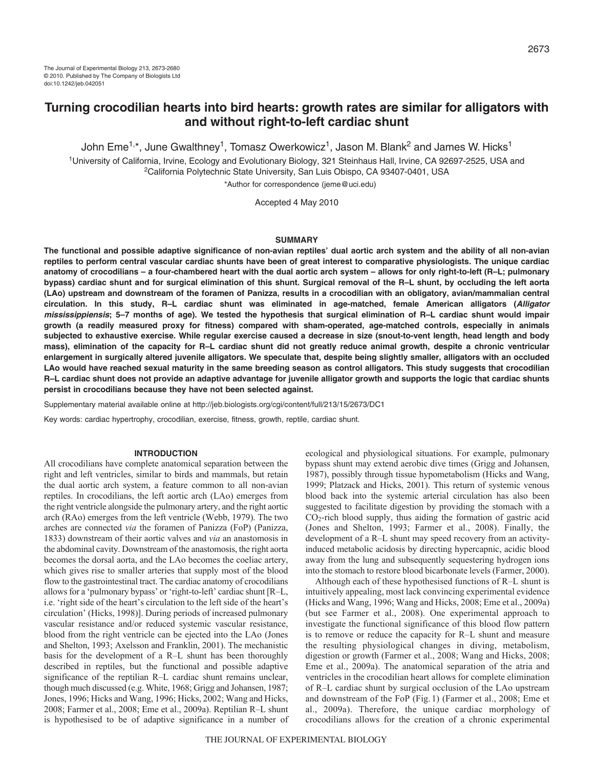# **Turning crocodilian hearts into bird hearts: growth rates are similar for alligators with and without right-to-left cardiac shunt**

John Eme<sup>1,\*</sup>, June Gwalthney<sup>1</sup>, Tomasz Owerkowicz<sup>1</sup>, Jason M. Blank<sup>2</sup> and James W. Hicks<sup>1</sup>

1University of California, Irvine, Ecology and Evolutionary Biology, 321 Steinhaus Hall, Irvine, CA 92697-2525, USA and <sup>2</sup>California Polytechnic State University, San Luis Obispo, CA 93407-0401, USA

\*Author for correspondence (jeme@uci.edu)

Accepted 4 May 2010

#### **SUMMARY**

**The functional and possible adaptive significance of non-avian reptiles' dual aortic arch system and the ability of all non-avian reptiles to perform central vascular cardiac shunts have been of great interest to comparative physiologists. The unique cardiac anatomy of crocodilians – a four-chambered heart with the dual aortic arch system – allows for only right-to-left (R–L; pulmonary bypass) cardiac shunt and for surgical elimination of this shunt. Surgical removal of the R–L shunt, by occluding the left aorta (LAo) upstream and downstream of the foramen of Panizza, results in a crocodilian with an obligatory, avian/mammalian central circulation. In this study, R–L cardiac shunt was eliminated in age-matched, female American alligators (Alligator mississippiensis; 5–7 months of age). We tested the hypothesis that surgical elimination of R–L cardiac shunt would impair growth (a readily measured proxy for fitness) compared with sham-operated, age-matched controls, especially in animals subjected to exhaustive exercise. While regular exercise caused a decrease in size (snout-to-vent length, head length and body mass), elimination of the capacity for R–L cardiac shunt did not greatly reduce animal growth, despite a chronic ventricular enlargement in surgically altered juvenile alligators. We speculate that, despite being slightly smaller, alligators with an occluded LAo would have reached sexual maturity in the same breeding season as control alligators. This study suggests that crocodilian R–L cardiac shunt does not provide an adaptive advantage for juvenile alligator growth and supports the logic that cardiac shunts persist in crocodilians because they have not been selected against.**

Supplementary material available online at http://jeb.biologists.org/cgi/content/full/213/15/2673/DC1

Key words: cardiac hypertrophy, crocodilian, exercise, fitness, growth, reptile, cardiac shunt.

#### **INTRODUCTION**

All crocodilians have complete anatomical separation between the right and left ventricles, similar to birds and mammals, but retain the dual aortic arch system, a feature common to all non-avian reptiles. In crocodilians, the left aortic arch (LAo) emerges from the right ventricle alongside the pulmonary artery, and the right aortic arch (RAo) emerges from the left ventricle (Webb, 1979). The two arches are connected *via* the foramen of Panizza (FoP) (Panizza, 1833) downstream of their aortic valves and *via* an anastomosis in the abdominal cavity. Downstream of the anastomosis, the right aorta becomes the dorsal aorta, and the LAo becomes the coeliac artery, which gives rise to smaller arteries that supply most of the blood flow to the gastrointestinal tract. The cardiac anatomy of crocodilians allows for a 'pulmonary bypass' or 'right-to-left' cardiac shunt [R–L, i.e. 'right side of the heart's circulation to the left side of the heart's circulation' (Hicks, 1998)]. During periods of increased pulmonary vascular resistance and/or reduced systemic vascular resistance, blood from the right ventricle can be ejected into the LAo (Jones and Shelton, 1993; Axelsson and Franklin, 2001). The mechanistic basis for the development of a R–L shunt has been thoroughly described in reptiles, but the functional and possible adaptive significance of the reptilian R–L cardiac shunt remains unclear, though much discussed (e.g. White, 1968; Grigg and Johansen, 1987; Jones, 1996; Hicks and Wang, 1996; Hicks, 2002; Wang and Hicks, 2008; Farmer et al., 2008; Eme et al., 2009a). Reptilian R–L shunt is hypothesised to be of adaptive significance in a number of ecological and physiological situations. For example, pulmonary bypass shunt may extend aerobic dive times (Grigg and Johansen, 1987), possibly through tissue hypometabolism (Hicks and Wang, 1999; Platzack and Hicks, 2001). This return of systemic venous blood back into the systemic arterial circulation has also been suggested to facilitate digestion by providing the stomach with a CO2-rich blood supply, thus aiding the formation of gastric acid (Jones and Shelton, 1993; Farmer et al., 2008). Finally, the development of a R–L shunt may speed recovery from an activityinduced metabolic acidosis by directing hypercapnic, acidic blood away from the lung and subsequently sequestering hydrogen ions into the stomach to restore blood bicarbonate levels (Farmer, 2000).

Although each of these hypothesised functions of R–L shunt is intuitively appealing, most lack convincing experimental evidence (Hicks and Wang, 1996; Wang and Hicks, 2008; Eme et al., 2009a) (but see Farmer et al., 2008). One experimental approach to investigate the functional significance of this blood flow pattern is to remove or reduce the capacity for R–L shunt and measure the resulting physiological changes in diving, metabolism, digestion or growth (Farmer et al., 2008; Wang and Hicks, 2008; Eme et al., 2009a). The anatomical separation of the atria and ventricles in the crocodilian heart allows for complete elimination of R–L cardiac shunt by surgical occlusion of the LAo upstream and downstream of the FoP (Fig. 1) (Farmer et al., 2008; Eme et al., 2009a). Therefore, the unique cardiac morphology of crocodilians allows for the creation of a chronic experimental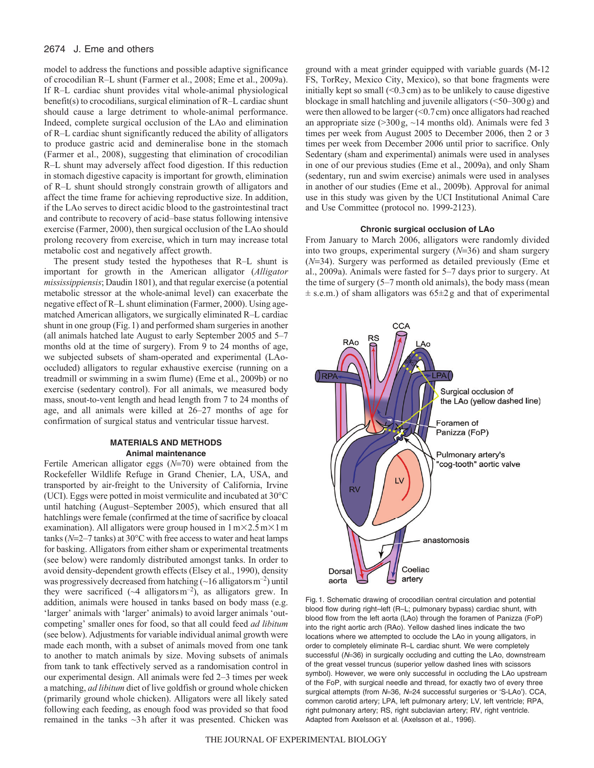# 2674 J. Eme and others

model to address the functions and possible adaptive significance of crocodilian R–L shunt (Farmer et al., 2008; Eme et al., 2009a). If R–L cardiac shunt provides vital whole-animal physiological benefit(s) to crocodilians, surgical elimination of R–L cardiac shunt should cause a large detriment to whole-animal performance. Indeed, complete surgical occlusion of the LAo and elimination of R–L cardiac shunt significantly reduced the ability of alligators to produce gastric acid and demineralise bone in the stomach (Farmer et al., 2008), suggesting that elimination of crocodilian R–L shunt may adversely affect food digestion. If this reduction in stomach digestive capacity is important for growth, elimination of R–L shunt should strongly constrain growth of alligators and affect the time frame for achieving reproductive size. In addition, if the LAo serves to direct acidic blood to the gastrointestinal tract and contribute to recovery of acid–base status following intensive exercise (Farmer, 2000), then surgical occlusion of the LAo should prolong recovery from exercise, which in turn may increase total metabolic cost and negatively affect growth.

The present study tested the hypotheses that R–L shunt is important for growth in the American alligator (*Alligator mississippiensis*; Daudin 1801), and that regular exercise (a potential metabolic stressor at the whole-animal level) can exacerbate the negative effect of R–L shunt elimination (Farmer, 2000). Using agematched American alligators, we surgically eliminated R–L cardiac shunt in one group (Fig.1) and performed sham surgeries in another (all animals hatched late August to early September 2005 and 5–7 months old at the time of surgery). From 9 to 24 months of age, we subjected subsets of sham-operated and experimental (LAooccluded) alligators to regular exhaustive exercise (running on a treadmill or swimming in a swim flume) (Eme et al., 2009b) or no exercise (sedentary control). For all animals, we measured body mass, snout-to-vent length and head length from 7 to 24 months of age, and all animals were killed at 26–27 months of age for confirmation of surgical status and ventricular tissue harvest.

### **MATERIALS AND METHODS Animal maintenance**

Fertile American alligator eggs  $(N=70)$  were obtained from the Rockefeller Wildlife Refuge in Grand Chenier, LA, USA, and transported by air-freight to the University of California, Irvine (UCI). Eggs were potted in moist vermiculite and incubated at 30°C until hatching (August–September 2005), which ensured that all hatchlings were female (confirmed at the time of sacrifice by cloacal examination). All alligators were group housed in  $1 \text{ m} \times 2.5 \text{ m} \times 1 \text{ m}$ tanks ( $N=2-7$  tanks) at 30 $^{\circ}$ C with free access to water and heat lamps for basking. Alligators from either sham or experimental treatments (see below) were randomly distributed amongst tanks. In order to avoid density-dependent growth effects (Elsey et al., 1990), density was progressively decreased from hatching  $(\sim]16$  alligators m<sup>-2</sup>) until they were sacrificed ( $\sim$ 4 alligators m<sup>-2</sup>), as alligators grew. In addition, animals were housed in tanks based on body mass (e.g. 'larger' animals with 'larger' animals) to avoid larger animals 'outcompeting' smaller ones for food, so that all could feed *ad libitum* (see below). Adjustments for variable individual animal growth were made each month, with a subset of animals moved from one tank to another to match animals by size. Moving subsets of animals from tank to tank effectively served as a randomisation control in our experimental design. All animals were fed 2–3 times per week a matching, *ad libitum* diet of live goldfish or ground whole chicken (primarily ground whole chicken). Alligators were all likely sated following each feeding, as enough food was provided so that food remained in the tanks ~3h after it was presented. Chicken was

ground with a meat grinder equipped with variable guards (M-12 FS, TorRey, Mexico City, Mexico), so that bone fragments were initially kept so small  $(< 0.3 \text{ cm})$  as to be unlikely to cause digestive blockage in small hatchling and juvenile alligators (<50–300g) and were then allowed to be larger (<0.7cm) once alligators had reached an appropriate size  $(>300 \text{ g}, \sim 14 \text{ months old})$ . Animals were fed 3 times per week from August 2005 to December 2006, then 2 or 3 times per week from December 2006 until prior to sacrifice. Only Sedentary (sham and experimental) animals were used in analyses in one of our previous studies (Eme et al., 2009a), and only Sham (sedentary, run and swim exercise) animals were used in analyses in another of our studies (Eme et al., 2009b). Approval for animal use in this study was given by the UCI Institutional Animal Care and Use Committee (protocol no. 1999-2123).

#### **Chronic surgical occlusion of LAo**

From January to March 2006, alligators were randomly divided into two groups, experimental surgery  $(N=36)$  and sham surgery (*N*34). Surgery was performed as detailed previously (Eme et al., 2009a). Animals were fasted for 5–7 days prior to surgery. At the time of surgery (5–7 month old animals), the body mass (mean  $\pm$  s.e.m.) of sham alligators was 65 $\pm$ 2 g and that of experimental



Fig. 1. Schematic drawing of crocodilian central circulation and potential blood flow during right–left (R–L; pulmonary bypass) cardiac shunt, with blood flow from the left aorta (LAo) through the foramen of Panizza (FoP) into the right aortic arch (RAo). Yellow dashed lines indicate the two locations where we attempted to occlude the LAo in young alligators, in order to completely eliminate R–L cardiac shunt. We were completely successful (N=36) in surgically occluding and cutting the LAo, downstream of the great vessel truncus (superior yellow dashed lines with scissors symbol). However, we were only successful in occluding the LAo upstream of the FoP, with surgical needle and thread, for exactly two of every three surgical attempts (from N=36, N=24 successful surgeries or 'S-LAo'). CCA, common carotid artery; LPA, left pulmonary artery; LV, left ventricle; RPA, right pulmonary artery; RS, right subclavian artery; RV, right ventricle. Adapted from Axelsson et al. (Axelsson et al., 1996).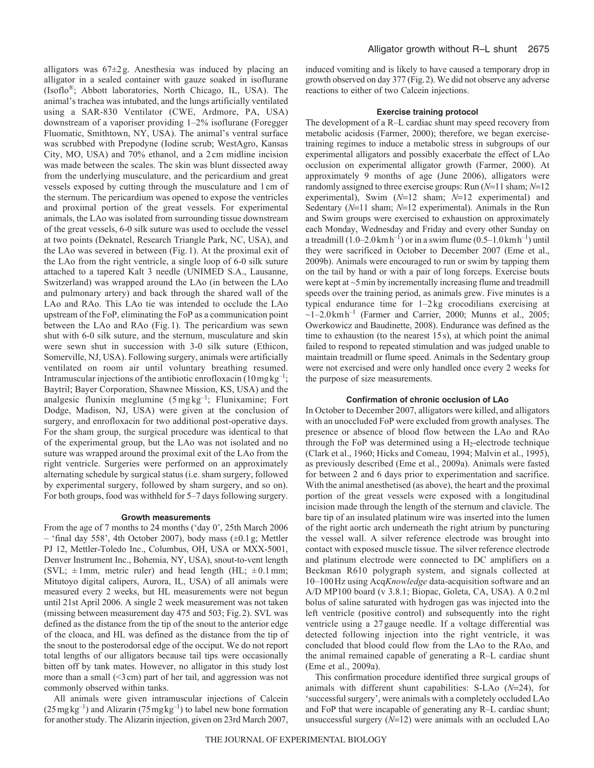alligators was  $67\pm2$  g. Anesthesia was induced by placing an alligator in a sealed container with gauze soaked in isoflurane (Isoflo®; Abbott laboratories, North Chicago, IL, USA). The animal's trachea was intubated, and the lungs artificially ventilated using a SAR-830 Ventilator (CWE, Ardmore, PA, USA) downstream of a vaporiser providing 1–2% isoflurane (Foregger Fluomatic, Smithtown, NY, USA). The animal's ventral surface was scrubbed with Prepodyne (Iodine scrub; WestAgro, Kansas City, MO, USA) and 70% ethanol, and a 2 cm midline incision was made between the scales. The skin was blunt dissected away from the underlying musculature, and the pericardium and great vessels exposed by cutting through the musculature and 1cm of the sternum. The pericardium was opened to expose the ventricles and proximal portion of the great vessels. For experimental animals, the LAo was isolated from surrounding tissue downstream of the great vessels, 6-0 silk suture was used to occlude the vessel at two points (Deknatel, Research Triangle Park, NC, USA), and the LAo was severed in between (Fig. 1). At the proximal exit of the LAo from the right ventricle, a single loop of 6-0 silk suture attached to a tapered Kalt 3 needle (UNIMED S.A., Lausanne, Switzerland) was wrapped around the LAo (in between the LAo and pulmonary artery) and back through the shared wall of the LAo and RAo. This LAo tie was intended to occlude the LAo upstream of the FoP, eliminating the FoP as a communication point between the LAo and RAo (Fig. 1). The pericardium was sewn shut with 6-0 silk suture, and the sternum, musculature and skin were sewn shut in succession with 3-0 silk suture (Ethicon, Somerville, NJ, USA). Following surgery, animals were artificially ventilated on room air until voluntary breathing resumed. Intramuscular injections of the antibiotic enrofloxacin  $(10 \text{mgkg}^{-1})$ ; Baytril; Bayer Corporation, Shawnee Mission, KS, USA) and the analgesic flunixin meglumine (5mg kg–1; Flunixamine; Fort Dodge, Madison, NJ, USA) were given at the conclusion of surgery, and enrofloxacin for two additional post-operative days. For the sham group, the surgical procedure was identical to that of the experimental group, but the LAo was not isolated and no suture was wrapped around the proximal exit of the LAo from the right ventricle. Surgeries were performed on an approximately alternating schedule by surgical status (i.e. sham surgery, followed by experimental surgery, followed by sham surgery, and so on). For both groups, food was withheld for 5–7 days following surgery.

#### **Growth measurements**

From the age of 7 months to 24 months ('day 0', 25th March 2006 – 'final day 558', 4th October 2007), body mass (±0.1g; Mettler PJ 12, Mettler-Toledo Inc., Columbus, OH, USA or MXX-5001, Denver Instrument Inc., Bohemia, NY, USA), snout-to-vent length (SVL;  $\pm$ 1mm, metric ruler) and head length (HL;  $\pm$ 0.1mm; Mitutoyo digital calipers, Aurora, IL, USA) of all animals were measured every 2 weeks, but HL measurements were not begun until 21st April 2006. A single 2 week measurement was not taken (missing between measurement day 475 and 503; Fig.2). SVL was defined as the distance from the tip of the snout to the anterior edge of the cloaca, and HL was defined as the distance from the tip of the snout to the posterodorsal edge of the occiput. We do not report total lengths of our alligators because tail tips were occasionally bitten off by tank mates. However, no alligator in this study lost more than a small (<3cm) part of her tail, and aggression was not commonly observed within tanks.

All animals were given intramuscular injections of Calcein  $(25 \text{ mgkg}^{-1})$  and Alizarin  $(75 \text{ mgkg}^{-1})$  to label new bone formation for another study. The Alizarin injection, given on 23rd March 2007, induced vomiting and is likely to have caused a temporary drop in growth observed on day 377 (Fig.2). We did not observe any adverse reactions to either of two Calcein injections.

### **Exercise training protocol**

The development of a R–L cardiac shunt may speed recovery from metabolic acidosis (Farmer, 2000); therefore, we began exercisetraining regimes to induce a metabolic stress in subgroups of our experimental alligators and possibly exacerbate the effect of LAo occlusion on experimental alligator growth (Farmer, 2000). At approximately 9 months of age (June 2006), alligators were randomly assigned to three exercise groups: Run  $(N=11 \text{ sham}; N=12$ experimental), Swim ( $N=12$  sham;  $N=12$  experimental) and Sedentary ( $N=11$  sham;  $N=12$  experimental). Animals in the Run and Swim groups were exercised to exhaustion on approximately each Monday, Wednesday and Friday and every other Sunday on a treadmill  $(1.0-2.0 \text{ km h}^{-1})$  or in a swim flume  $(0.5-1.0 \text{ km h}^{-1})$  until they were sacrificed in October to December 2007 (Eme et al., 2009b). Animals were encouraged to run or swim by tapping them on the tail by hand or with a pair of long forceps. Exercise bouts were kept at ~5 min by incrementally increasing flume and treadmill speeds over the training period, as animals grew. Five minutes is a typical endurance time for 1–2 kg crocodilians exercising at  $\sim$ 1–2.0 km h<sup>-1</sup> (Farmer and Carrier, 2000; Munns et al., 2005; Owerkowicz and Baudinette, 2008). Endurance was defined as the time to exhaustion (to the nearest 15s), at which point the animal failed to respond to repeated stimulation and was judged unable to maintain treadmill or flume speed. Animals in the Sedentary group were not exercised and were only handled once every 2 weeks for the purpose of size measurements.

# **Confirmation of chronic occlusion of LAo**

In October to December 2007, alligators were killed, and alligators with an unoccluded FoP were excluded from growth analyses. The presence or absence of blood flow between the LAo and RAo through the FoP was determined using a  $H_2$ -electrode technique (Clark et al., 1960; Hicks and Comeau, 1994; Malvin et al., 1995), as previously described (Eme et al., 2009a). Animals were fasted for between 2 and 6 days prior to experimentation and sacrifice. With the animal anesthetised (as above), the heart and the proximal portion of the great vessels were exposed with a longitudinal incision made through the length of the sternum and clavicle. The bare tip of an insulated platinum wire was inserted into the lumen of the right aortic arch underneath the right atrium by puncturing the vessel wall. A silver reference electrode was brought into contact with exposed muscle tissue. The silver reference electrode and platinum electrode were connected to DC amplifiers on a Beckman R610 polygraph system, and signals collected at 10–100Hz using Acq*Knowledge* data-acquisition software and an A/D MP100 board (v 3.8.1; Biopac, Goleta, CA, USA). A 0.2ml bolus of saline saturated with hydrogen gas was injected into the left ventricle (positive control) and subsequently into the right ventricle using a 27 gauge needle. If a voltage differential was detected following injection into the right ventricle, it was concluded that blood could flow from the LAo to the RAo, and the animal remained capable of generating a R–L cardiac shunt (Eme et al., 2009a).

This confirmation procedure identified three surgical groups of animals with different shunt capabilities: S-LAo ( $N=24$ ), for 'successful surgery', were animals with a completely occluded LAo and FoP that were incapable of generating any R–L cardiac shunt; unsuccessful surgery  $(N=12)$  were animals with an occluded LAo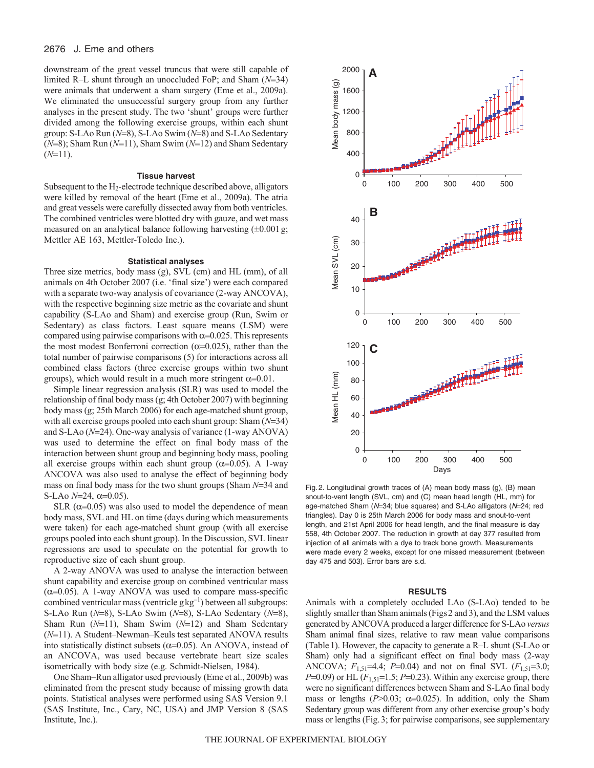### 2676 J. Eme and others

downstream of the great vessel truncus that were still capable of limited R–L shunt through an unoccluded FoP; and Sham ( $N=34$ ) were animals that underwent a sham surgery (Eme et al., 2009a). We eliminated the unsuccessful surgery group from any further analyses in the present study. The two 'shunt' groups were further divided among the following exercise groups, within each shunt group: S-LAo Run  $(N=8)$ , S-LAo Swim  $(N=8)$  and S-LAo Sedentary  $(N=8)$ ; Sham Run  $(N=11)$ , Sham Swim  $(N=12)$  and Sham Sedentary  $(N=11)$ .

#### **Tissue harvest**

Subsequent to the  $H_2$ -electrode technique described above, alligators were killed by removal of the heart (Eme et al., 2009a). The atria and great vessels were carefully dissected away from both ventricles. The combined ventricles were blotted dry with gauze, and wet mass measured on an analytical balance following harvesting  $(\pm 0.001$  g; Mettler AE 163, Mettler-Toledo Inc.).

### **Statistical analyses**

Three size metrics, body mass (g), SVL (cm) and HL (mm), of all animals on 4th October 2007 (i.e. 'final size') were each compared with a separate two-way analysis of covariance (2-way ANCOVA), with the respective beginning size metric as the covariate and shunt capability (S-LAo and Sham) and exercise group (Run, Swim or Sedentary) as class factors. Least square means (LSM) were compared using pairwise comparisons with  $\alpha$ =0.025. This represents the most modest Bonferroni correction ( $\alpha$ =0.025), rather than the total number of pairwise comparisons (5) for interactions across all combined class factors (three exercise groups within two shunt groups), which would result in a much more stringent  $\alpha = 0.01$ .

Simple linear regression analysis (SLR) was used to model the relationship of final body mass (g; 4th October 2007) with beginning body mass (g; 25th March 2006) for each age-matched shunt group, with all exercise groups pooled into each shunt group: Sham ( $N=34$ ) and S-LAo ( $N=24$ ). One-way analysis of variance (1-way ANOVA) was used to determine the effect on final body mass of the interaction between shunt group and beginning body mass, pooling all exercise groups within each shunt group ( $\alpha$ =0.05). A 1-way ANCOVA was also used to analyse the effect of beginning body mass on final body mass for the two shunt groups (Sham  $N=34$  and S-LAo  $N=24$ ,  $\alpha=0.05$ ).

SLR  $(\alpha=0.05)$  was also used to model the dependence of mean body mass, SVL and HL on time (days during which measurements were taken) for each age-matched shunt group (with all exercise groups pooled into each shunt group). In the Discussion, SVL linear regressions are used to speculate on the potential for growth to reproductive size of each shunt group.

A 2-way ANOVA was used to analyse the interaction between shunt capability and exercise group on combined ventricular mass  $(\alpha=0.05)$ . A 1-way ANOVA was used to compare mass-specific combined ventricular mass (ventricle  $g \, kg^{-1}$ ) between all subgroups: S-LAo Run (*N*=8), S-LAo Swim (*N*=8), S-LAo Sedentary (*N*=8), Sham Run (*N*=11), Sham Swim (*N*=12) and Sham Sedentary ( $N=11$ ). A Student–Newman–Keuls test separated ANOVA results into statistically distinct subsets ( $\alpha$ =0.05). An ANOVA, instead of an ANCOVA, was used because vertebrate heart size scales isometrically with body size (e.g. Schmidt-Nielsen, 1984).

One Sham–Run alligator used previously (Eme et al., 2009b) was eliminated from the present study because of missing growth data points. Statistical analyses were performed using SAS Version 9.1 (SAS Institute, Inc., Cary, NC, USA) and JMP Version 8 (SAS Institute, Inc.).



Fig. 2. Longitudinal growth traces of (A) mean body mass (g), (B) mean snout-to-vent length (SVL, cm) and (C) mean head length (HL, mm) for age-matched Sham ( $N=34$ ; blue squares) and S-LAo alligators ( $N=24$ ; red triangles). Day 0 is 25th March 2006 for body mass and snout-to-vent length, and 21st April 2006 for head length, and the final measure is day 558, 4th October 2007. The reduction in growth at day 377 resulted from injection of all animals with a dye to track bone growth. Measurements were made every 2 weeks, except for one missed measurement (between day 475 and 503). Error bars are s.d.

#### **RESULTS**

Animals with a completely occluded LAo (S-LAo) tended to be slightly smaller than Sham animals (Figs2 and 3), and the LSM values generated by ANCOVA produced a larger difference for S-LAo *versus* Sham animal final sizes, relative to raw mean value comparisons (Table1). However, the capacity to generate a R–L shunt (S-LAo or Sham) only had a significant effect on final body mass (2-way ANCOVA;  $F_{1,51}$ =4.4;  $P=0.04$ ) and not on final SVL ( $F_{1,51}$ =3.0; *P*=0.09) or HL ( $F_{1,51}$ =1.5; *P*=0.23). Within any exercise group, there were no significant differences between Sham and S-LAo final body mass or lengths ( $P > 0.03$ ;  $\alpha = 0.025$ ). In addition, only the Sham Sedentary group was different from any other exercise group's body mass or lengths (Fig.3; for pairwise comparisons, see supplementary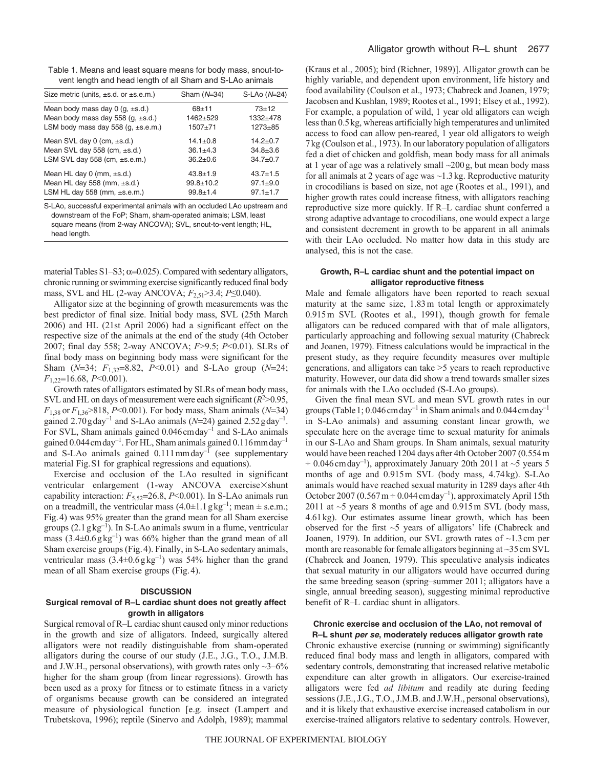Table 1. Means and least square means for body mass, snout-tovent length and head length of all Sham and S-LAo animals

| Size metric (units, $\pm$ s.d. or $\pm$ s.e.m.) | Sham $(N=34)$   | $S-LA0$ ( $N=24$ ) |
|-------------------------------------------------|-----------------|--------------------|
| Mean body mass day 0 $(g, \pm s.d.)$            | $68 + 11$       | $73 + 12$          |
| Mean body mass day 558 $(g, \pm s.d.)$          | 1462±529        | $1332 + 478$       |
| LSM body mass day 558 $(g, \pm s.e.m.)$         | $1507 + 71$     | $1273 + 85$        |
| Mean SVL day 0 (cm, $\pm$ s.d.)                 | $14.1 \pm 0.8$  | $14.2 + 0.7$       |
| Mean SVL day $558$ (cm, $\pm$ s.d.)             | $36.1 + 4.3$    | $34.8 \pm 3.6$     |
| LSM SVL day $558$ (cm, $\pm$ s.e.m.)            | $36.2 \pm 0.6$  | $34.7 + 0.7$       |
| Mean HL day 0 (mm, $\pm$ s.d.)                  | $43.8 \pm 1.9$  | $43.7 \pm 1.5$     |
| Mean HL day 558 (mm, $\pm$ s.d.)                | $99.8 \pm 10.2$ | $97.1 \pm 9.0$     |
| LSM HL day 558 (mm, $±s.e.m.$ )                 | $99.8 + 1.4$    | $97.1 \pm 1.7$     |

S-LAo, successful experimental animals with an occluded LAo upstream and downstream of the FoP; Sham, sham-operated animals; LSM, least square means (from 2-way ANCOVA); SVL, snout-to-vent length; HL, head length.

material Tables S1–S3;  $\alpha$ =0.025). Compared with sedentary alligators, chronic running or swimming exercise significantly reduced final body mass, SVL and HL (2-way ANCOVA; *F*2,51>3.4; *P*≤0.040).

Alligator size at the beginning of growth measurements was the best predictor of final size. Initial body mass, SVL (25th March 2006) and HL (21st April 2006) had a significant effect on the respective size of the animals at the end of the study (4th October 2007; final day 558; 2-way ANCOVA; *F*>9.5; *P*<0.01). SLRs of final body mass on beginning body mass were significant for the Sham  $(N=34; F_{1,32}=8.82, P<0.01)$  and S-LAo group  $(N=24;$ *F*<sub>1,22</sub>=16.68, *P*<0.001).

Growth rates of alligators estimated by SLRs of mean body mass, SVL and HL on days of measurement were each significant  $(R^2 > 0.95)$ , *F*<sub>1,38</sub> or *F*<sub>1,36</sub>>818, *P*<0.001). For body mass, Sham animals (*N*=34) gained  $2.70$  gday<sup>-1</sup> and S-LAo animals ( $N=24$ ) gained  $2.52$  gday<sup>-1</sup>. For SVL, Sham animals gained  $0.046$  cm day<sup>-1</sup> and S-LAo animals gained  $0.044 \,\mathrm{cm} \,\mathrm{day}^{-1}$ . For HL, Sham animals gained  $0.116 \,\mathrm{mm} \,\mathrm{day}^{-1}$ and S-LAo animals gained  $0.111$  mmday<sup>-1</sup> (see supplementary material Fig.S1 for graphical regressions and equations).

Exercise and occlusion of the LAo resulted in significant ventricular enlargement (1-way ANCOVA exercise×shunt capability interaction:  $F_{5,52}$ =26.8, *P*<0.001). In S-LAo animals run on a treadmill, the ventricular mass  $(4.0 \pm 1.1$  g kg<sup>-1</sup>; mean  $\pm$  s.e.m.; Fig.4) was 95% greater than the grand mean for all Sham exercise groups  $(2.1 \text{ g kg}^{-1})$ . In S-LAo animals swum in a flume, ventricular mass  $(3.4\pm0.6$  g kg<sup>-1</sup>) was 66% higher than the grand mean of all Sham exercise groups (Fig.4). Finally, in S-LAo sedentary animals, ventricular mass  $(3.4\pm 0.6$  g kg<sup>-1</sup>) was 54% higher than the grand mean of all Sham exercise groups (Fig.4).

#### **DISCUSSION**

# **Surgical removal of R–L cardiac shunt does not greatly affect growth in alligators**

Surgical removal of R–L cardiac shunt caused only minor reductions in the growth and size of alligators. Indeed, surgically altered alligators were not readily distinguishable from sham-operated alligators during the course of our study (J.E., J.G., T.O., J.M.B. and J.W.H., personal observations), with growth rates only  $\sim$ 3–6% higher for the sham group (from linear regressions). Growth has been used as a proxy for fitness or to estimate fitness in a variety of organisms because growth can be considered an integrated measure of physiological function [e.g. insect (Lampert and Trubetskova, 1996); reptile (Sinervo and Adolph, 1989); mammal (Kraus et al., 2005); bird (Richner, 1989)]. Alligator growth can be highly variable, and dependent upon environment, life history and food availability (Coulson et al., 1973; Chabreck and Joanen, 1979; Jacobsen and Kushlan, 1989; Rootes et al., 1991; Elsey et al., 1992). For example, a population of wild, 1 year old alligators can weigh less than 0.5kg, whereas artificially high temperatures and unlimited access to food can allow pen-reared, 1 year old alligators to weigh 7kg (Coulson et al., 1973). In our laboratory population of alligators fed a diet of chicken and goldfish, mean body mass for all animals at 1 year of age was a relatively small  $\sim$ 200 g, but mean body mass for all animals at 2 years of age was  $\sim$ 1.3 kg. Reproductive maturity in crocodilians is based on size, not age (Rootes et al., 1991), and higher growth rates could increase fitness, with alligators reaching reproductive size more quickly. If R–L cardiac shunt conferred a strong adaptive advantage to crocodilians, one would expect a large and consistent decrement in growth to be apparent in all animals with their LAo occluded. No matter how data in this study are analysed, this is not the case.

# **Growth, R–L cardiac shunt and the potential impact on alligator reproductive fitness**

Male and female alligators have been reported to reach sexual maturity at the same size, 1.83m total length or approximately 0.915m SVL (Rootes et al., 1991), though growth for female alligators can be reduced compared with that of male alligators, particularly approaching and following sexual maturity (Chabreck and Joanen, 1979). Fitness calculations would be impractical in the present study, as they require fecundity measures over multiple generations, and alligators can take >5 years to reach reproductive maturity. However, our data did show a trend towards smaller sizes for animals with the LAo occluded (S-LAo groups).

Given the final mean SVL and mean SVL growth rates in our groups (Table 1;  $0.046$  cm day<sup>-1</sup> in Sham animals and  $0.044$  cm day<sup>-1</sup> in S-LAo animals) and assuming constant linear growth, we speculate here on the average time to sexual maturity for animals in our S-LAo and Sham groups. In Sham animals, sexual maturity would have been reached 1204 days after 4th October 2007 (0.554m  $\div$  0.046 cm day<sup>-1</sup>), approximately January 20th 2011 at ~5 years 5 months of age and 0.915m SVL (body mass, 4.74kg). S-LAo animals would have reached sexual maturity in 1289 days after 4th October 2007 (0.567 m  $\div$  0.044 cm day<sup>-1</sup>), approximately April 15th 2011 at  $\sim$ 5 years 8 months of age and 0.915 m SVL (body mass, 4.61kg). Our estimates assume linear growth, which has been observed for the first ~5 years of alligators' life (Chabreck and Joanen, 1979). In addition, our SVL growth rates of ~1.3cm per month are reasonable for female alligators beginning at  $\sim$ 35 cm SVL (Chabreck and Joanen, 1979). This speculative analysis indicates that sexual maturity in our alligators would have occurred during the same breeding season (spring–summer 2011; alligators have a single, annual breeding season), suggesting minimal reproductive benefit of R–L cardiac shunt in alligators.

# **Chronic exercise and occlusion of the LAo, not removal of**

**R–L shunt per se, moderately reduces alligator growth rate** Chronic exhaustive exercise (running or swimming) significantly reduced final body mass and length in alligators, compared with sedentary controls, demonstrating that increased relative metabolic expenditure can alter growth in alligators. Our exercise-trained alligators were fed *ad libitum* and readily ate during feeding sessions (J.E., J.G., T.O., J.M.B. and J.W.H., personal observations), and it is likely that exhaustive exercise increased catabolism in our exercise-trained alligators relative to sedentary controls. However,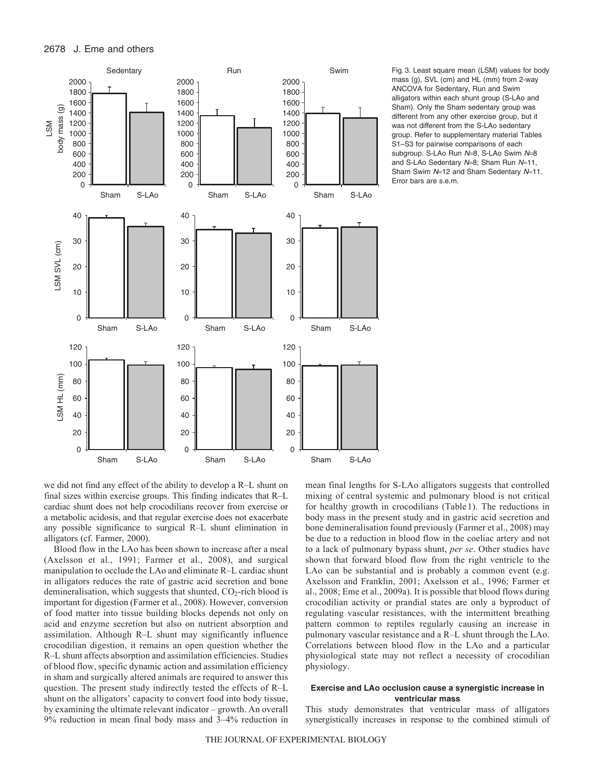

Fig. 3. Least square mean (LSM) values for body mass (g), SVL (cm) and HL (mm) from 2-way ANCOVA for Sedentary, Run and Swim alligators within each shunt group (S-LAo and Sham). Only the Sham sedentary group was different from any other exercise group, but it was not different from the S-LAo sedentary group. Refer to supplementary material Tables S1–S3 for pairwise comparisons of each subgroup. S-LAo Run N=8, S-LAo Swim N=8 and S-LAo Sedentary  $N=8$ ; Sham Run  $N=11$ , Sham Swim  $N=12$  and Sham Sedentary  $N=11$ . Error bars are s.e.m.

we did not find any effect of the ability to develop a R–L shunt on final sizes within exercise groups. This finding indicates that R–L cardiac shunt does not help crocodilians recover from exercise or a metabolic acidosis, and that regular exercise does not exacerbate any possible significance to surgical R–L shunt elimination in alligators (cf. Farmer, 2000).

Blood flow in the LAo has been shown to increase after a meal (Axelsson et al., 1991; Farmer et al., 2008), and surgical manipulation to occlude the LAo and eliminate R–L cardiac shunt in alligators reduces the rate of gastric acid secretion and bone demineralisation, which suggests that shunted,  $CO<sub>2</sub>$ -rich blood is important for digestion (Farmer et al., 2008). However, conversion of food matter into tissue building blocks depends not only on acid and enzyme secretion but also on nutrient absorption and assimilation. Although R–L shunt may significantly influence crocodilian digestion, it remains an open question whether the R–L shunt affects absorption and assimilation efficiencies. Studies of blood flow, specific dynamic action and assimilation efficiency in sham and surgically altered animals are required to answer this question. The present study indirectly tested the effects of R–L shunt on the alligators' capacity to convert food into body tissue, by examining the ultimate relevant indicator – growth. An overall 9% reduction in mean final body mass and 3–4% reduction in mean final lengths for S-LAo alligators suggests that controlled mixing of central systemic and pulmonary blood is not critical for healthy growth in crocodilians (Table 1). The reductions in body mass in the present study and in gastric acid secretion and bone demineralisation found previously (Farmer et al., 2008) may be due to a reduction in blood flow in the coeliac artery and not to a lack of pulmonary bypass shunt, *per se*. Other studies have shown that forward blood flow from the right ventricle to the LAo can be substantial and is probably a common event (e.g. Axelsson and Franklin, 2001; Axelsson et al., 1996; Farmer et al., 2008; Eme et al., 2009a). It is possible that blood flows during crocodilian activity or prandial states are only a byproduct of regulating vascular resistances, with the intermittent breathing pattern common to reptiles regularly causing an increase in pulmonary vascular resistance and a R–L shunt through the LAo. Correlations between blood flow in the LAo and a particular physiological state may not reflect a necessity of crocodilian physiology.

### **Exercise and LAo occlusion cause a synergistic increase in ventricular mass**

This study demonstrates that ventricular mass of alligators synergistically increases in response to the combined stimuli of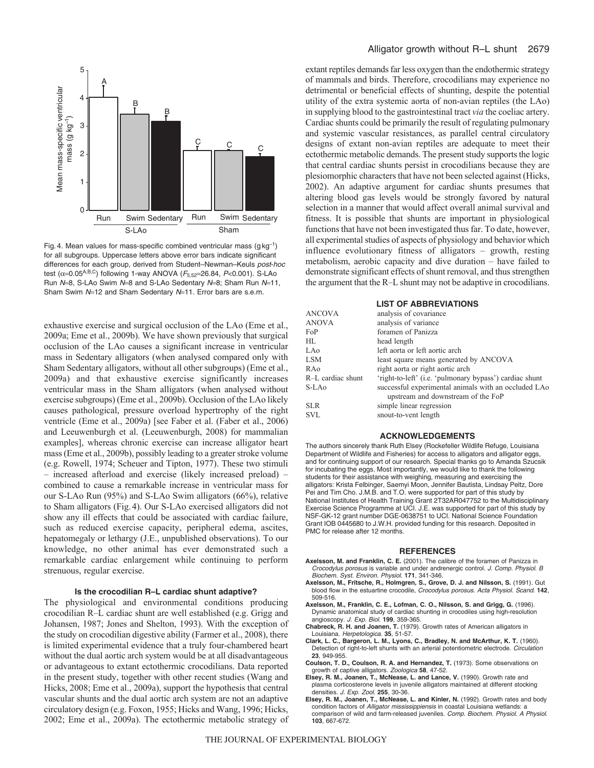

Fig. 4. Mean values for mass-specific combined ventricular mass  $(g \, kg^{-1})$ for all subgroups. Uppercase letters above error bars indicate significant differences for each group, derived from Student-Newman-Keuls post-hoc test ( $\alpha$ =0.05<sup>A,B,C</sup>) following 1-way ANOVA ( $F_{5,52}$ =26.84, P<0.001). S-LAo Run N=8, S-LAo Swim N=8 and S-LAo Sedentary N=8; Sham Run N=11, Sham Swim  $N=12$  and Sham Sedentary  $N=11$ . Error bars are s.e.m.

exhaustive exercise and surgical occlusion of the LAo (Eme et al., 2009a; Eme et al., 2009b). We have shown previously that surgical occlusion of the LAo causes a significant increase in ventricular mass in Sedentary alligators (when analysed compared only with Sham Sedentary alligators, without all other subgroups) (Eme et al., 2009a) and that exhaustive exercise significantly increases ventricular mass in the Sham alligators (when analysed without exercise subgroups) (Eme et al., 2009b). Occlusion of the LAo likely causes pathological, pressure overload hypertrophy of the right ventricle (Eme et al., 2009a) [see Faber et al. (Faber et al., 2006) and Leeuwenburgh et al. (Leeuwenburgh, 2008) for mammalian examples], whereas chronic exercise can increase alligator heart mass (Eme et al., 2009b), possibly leading to a greater stroke volume (e.g. Rowell, 1974; Scheuer and Tipton, 1977). These two stimuli – increased afterload and exercise (likely increased preload) – combined to cause a remarkable increase in ventricular mass for our S-LAo Run (95%) and S-LAo Swim alligators (66%), relative to Sham alligators (Fig.4). Our S-LAo exercised alligators did not show any ill effects that could be associated with cardiac failure, such as reduced exercise capacity, peripheral edema, ascites, hepatomegaly or lethargy (J.E., unpublished observations). To our knowledge, no other animal has ever demonstrated such a remarkable cardiac enlargement while continuing to perform strenuous, regular exercise.

# **Is the crocodilian R–L cardiac shunt adaptive?**

The physiological and environmental conditions producing crocodilian R–L cardiac shunt are well established (e.g. Grigg and Johansen, 1987; Jones and Shelton, 1993). With the exception of the study on crocodilian digestive ability (Farmer et al., 2008), there is limited experimental evidence that a truly four-chambered heart without the dual aortic arch system would be at all disadvantageous or advantageous to extant ectothermic crocodilians. Data reported in the present study, together with other recent studies (Wang and Hicks, 2008; Eme et al., 2009a), support the hypothesis that central vascular shunts and the dual aortic arch system are not an adaptive circulatory design (e.g. Foxon, 1955; Hicks and Wang, 1996; Hicks, 2002; Eme et al., 2009a). The ectothermic metabolic strategy of extant reptiles demands far less oxygen than the endothermic strategy of mammals and birds. Therefore, crocodilians may experience no detrimental or beneficial effects of shunting, despite the potential utility of the extra systemic aorta of non-avian reptiles (the LAo) in supplying blood to the gastrointestinal tract *via* the coeliac artery. Cardiac shunts could be primarily the result of regulating pulmonary and systemic vascular resistances, as parallel central circulatory designs of extant non-avian reptiles are adequate to meet their ectothermic metabolic demands. The present study supports the logic that central cardiac shunts persist in crocodilians because they are plesiomorphic characters that have not been selected against (Hicks, 2002). An adaptive argument for cardiac shunts presumes that altering blood gas levels would be strongly favored by natural selection in a manner that would affect overall animal survival and fitness. It is possible that shunts are important in physiological functions that have not been investigated thus far. To date, however, all experimental studies of aspects of physiology and behavior which influence evolutionary fitness of alligators – growth, resting metabolism, aerobic capacity and dive duration – have failed to demonstrate significant effects of shunt removal, and thus strengthen the argument that the R–L shunt may not be adaptive in crocodilians.

|                   | <b>LIST OF ABBREVIATIONS</b>                                                               |
|-------------------|--------------------------------------------------------------------------------------------|
| ANCOVA            | analysis of covariance                                                                     |
| ANOVA             | analysis of variance                                                                       |
| FoP               | foramen of Panizza                                                                         |
| HL.               | head length                                                                                |
| LAo               | left aorta or left aortic arch                                                             |
| LSM               | least square means generated by ANCOVA                                                     |
| RAo               | right aorta or right aortic arch                                                           |
| R-L cardiac shunt | 'right-to-left' (i.e. 'pulmonary bypass') cardiac shunt                                    |
| S-LA0             | successful experimental animals with an occluded LAo<br>upstream and downstream of the FoP |
| SLR               | simple linear regression                                                                   |
| SVL               | snout-to-vent length                                                                       |
|                   |                                                                                            |

#### **ACKNOWLEDGEMENTS**

The authors sincerely thank Ruth Elsey (Rockefeller Wildlife Refuge, Louisiana Department of Wildlife and Fisheries) for access to alligators and alligator eggs, and for continuing support of our research. Special thanks go to Amanda Szucsik for incubating the eggs. Most importantly, we would like to thank the following students for their assistance with weighing, measuring and exercising the alligators: Krista Felbinger, Saemyi Moon, Jennifer Bautista, Lindsay Peltz, Dore Pei and Tim Cho. J.M.B. and T.O. were supported for part of this study by National Institutes of Health Training Grant 2T32AR047752 to the Multidisciplinary Exercise Science Programme at UCI. J.E. was supported for part of this study by NSF-GK-12 grant number DGE-0638751 to UCI. National Science Foundation Grant IOB 0445680 to J.W.H. provided funding for this research. Deposited in PMC for release after 12 months.

#### **REFERENCES**

- **Axelsson, M. and Franklin, C. E.** (2001). The calibre of the foramen of Panizza in Crocodylus porosus is variable and under andrenergic control. J. Comp. Physiol. B Biochem. Syst. Environ. Physiol. **171**, 341-346.
- **Axelsson, M., Fritsche, R., Holmgren, S., Grove, D. J. and Nilsson, S.** (1991). Gut blood flow in the estuartine crocodile, Crocodylus porosus. Acta Physiol. Scand. **142**, 509-516.
- **Axelsson, M., Franklin, C. E., Lofman, C. O., Nilsson, S. and Grigg, G.** (1996). Dynamic anatomical study of cardiac shunting in crocodiles using high-resolution angioscopy. J. Exp. Biol. **199**, 359-365.
- **Chabreck, R. H. and Joanen, T.** (1979). Growth rates of American alligators in Louisiana. Herpetologica. **35**, 51-57.
- **Clark, L. C., Bargeron, L. M., Lyons, C., Bradley, N. and McArthur, K. T.** (1960). Detection of right-to-left shunts with an arterial potentiometric electrode. Circulation **23**, 949-955.
- **Coulson, T. D., Coulson, R. A. and Hernandez, T.** (1973). Some observations on growth of captive alligators. Zoologica **58**, 47-52.
- **Elsey, R. M., Joanen, T., McNease, L. and Lance, V.** (1990). Growth rate and plasma corticosterone levels in juvenile alligators maintained at different stocking densities. J. Exp. Zool. **255**, 30-36.
- **Elsey, R. M., Joanen, T., McNease, L. and Kinler, N.** (1992). Growth rates and body condition factors of Alligator mississippiensis in coastal Louisiana wetlands: a comparison of wild and farm-released juveniles. Comp. Biochem. Physiol. A Physiol. **103**, 667-672.